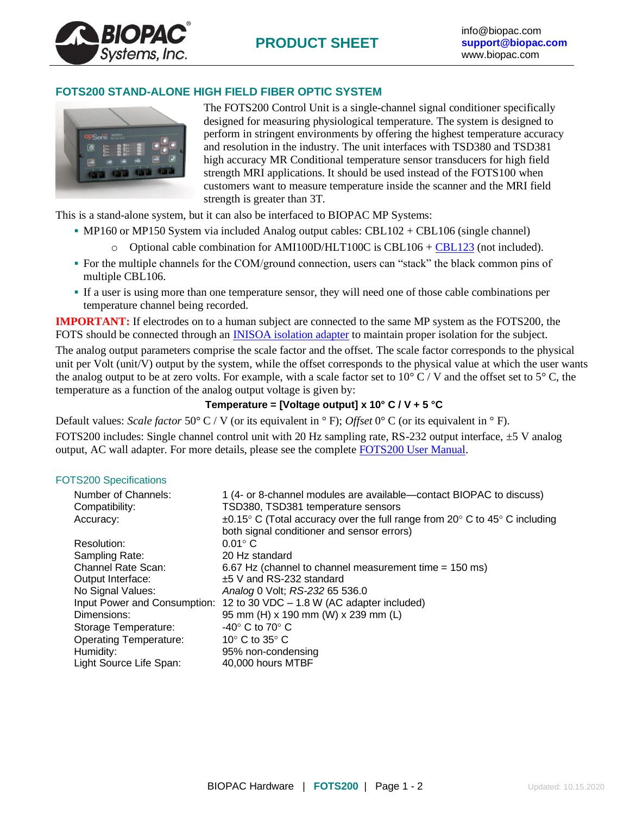

## **FOTS200 STAND-ALONE HIGH FIELD FIBER OPTIC SYSTEM**



The FOTS200 Control Unit is a single-channel signal conditioner specifically designed for measuring physiological temperature. The system is designed to perform in stringent environments by offering the highest temperature accuracy and resolution in the industry. The unit interfaces with TSD380 and TSD381 high accuracy MR Conditional temperature sensor transducers for high field strength MRI applications. It should be used instead of the FOTS100 when customers want to measure temperature inside the scanner and the MRI field strength is greater than 3T.

This is a stand-alone system, but it can also be interfaced to BIOPAC MP Systems:

- MP160 or MP150 System via included Analog output cables: CBL102 + CBL106 (single channel)
	- $\circ$  Optional cable combination for AMI100D/HLT100C is CBL106 + [CBL123](https://www.biopac.com/product/interface-cables/?attribute_pa_size=unisolated-rj11-to-bnc-male) (not included).
- For the multiple channels for the COM/ground connection, users can "stack" the black common pins of multiple CBL106.
- If a user is using more than one temperature sensor, they will need one of those cable combinations per temperature channel being recorded.

**IMPORTANT:** If electrodes on to a human subject are connected to the same MP system as the FOTS200, the FOTS should be connected through an INISOA [isolation adapter](https://www.biopac.com/product/signal-isolation-adapters/) to maintain proper isolation for the subject.

The analog output parameters comprise the scale factor and the offset. The scale factor corresponds to the physical unit per Volt (unit/V) output by the system, while the offset corresponds to the physical value at which the user wants the analog output to be at zero volts. For example, with a scale factor set to 10 $\degree$  C / V and the offset set to 5 $\degree$  C, the temperature as a function of the analog output voltage is given by:

# **Temperature = [Voltage output] x 10° C / V + 5 °C**

Default values: *Scale factor* 50° C / V (or its equivalent in ° F); *Offset* 0° C (or its equivalent in ° F). FOTS200 includes: Single channel control unit with 20 Hz sampling rate, RS-232 output interface, ±5 V analog output, AC wall adapter. For more details, please see the complete [FOTS200 User Manual.](http://www.biopac.com/Manuals/FOTS200_User_Manual.pdf)

## FOTS200 Specifications

| Number of Channels:<br>Compatibility: | 1 (4- or 8-channel modules are available—contact BIOPAC to discuss)<br>TSD380, TSD381 temperature sensors                                                |
|---------------------------------------|----------------------------------------------------------------------------------------------------------------------------------------------------------|
| Accuracy:                             | $\pm 0.15^{\circ}$ C (Total accuracy over the full range from 20 $^{\circ}$ C to 45 $^{\circ}$ C including<br>both signal conditioner and sensor errors) |
| Resolution:                           | $0.01^\circ$ C                                                                                                                                           |
| Sampling Rate:                        | 20 Hz standard                                                                                                                                           |
| <b>Channel Rate Scan:</b>             | 6.67 Hz (channel to channel measurement time = 150 ms)                                                                                                   |
| Output Interface:                     | $±5$ V and RS-232 standard                                                                                                                               |
| No Signal Values:                     | Analog 0 Volt; RS-232 65 536.0                                                                                                                           |
| Input Power and Consumption:          | 12 to 30 VDC – 1.8 W (AC adapter included)                                                                                                               |
| Dimensions:                           | 95 mm (H) x 190 mm (W) x 239 mm (L)                                                                                                                      |
| Storage Temperature:                  | $-40^\circ$ C to 70 $^\circ$ C                                                                                                                           |
| <b>Operating Temperature:</b>         | 10 $\degree$ C to 35 $\degree$ C                                                                                                                         |
| Humidity:                             | 95% non-condensing                                                                                                                                       |
| Light Source Life Span:               | 40,000 hours MTBF                                                                                                                                        |